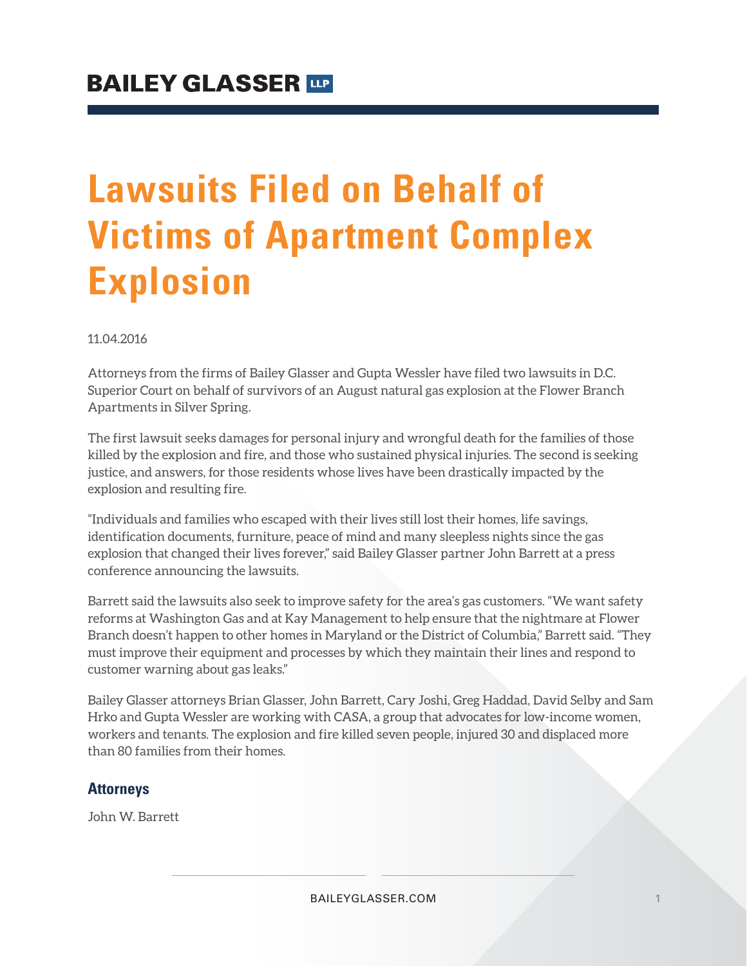# **Lawsuits Filed on Behalf of Victims of Apartment Complex Explosion**

11.04.2016

Attorneys from the firms of Bailey Glasser and Gupta Wessler have filed two lawsuits in D.C. Superior Court on behalf of survivors of an August natural gas explosion at the Flower Branch Apartments in Silver Spring.

The first lawsuit seeks damages for personal injury and wrongful death for the families of those killed by the explosion and fire, and those who sustained physical injuries. The second is seeking justice, and answers, for those residents whose lives have been drastically impacted by the explosion and resulting fire.

"Individuals and families who escaped with their lives still lost their homes, life savings, identification documents, furniture, peace of mind and many sleepless nights since the gas explosion that changed their lives forever," said Bailey Glasser partner John Barrett at a press conference announcing the lawsuits.

Barrett said the lawsuits also seek to improve safety for the area's gas customers. "We want safety reforms at Washington Gas and at Kay Management to help ensure that the nightmare at Flower Branch doesn't happen to other homes in Maryland or the District of Columbia," Barrett said. "They must improve their equipment and processes by which they maintain their lines and respond to customer warning about gas leaks."

Bailey Glasser attorneys Brian Glasser, John Barrett, Cary Joshi, Greg Haddad, David Selby and Sam Hrko and Gupta Wessler are working with CASA, a group that advocates for low-income women, workers and tenants. The explosion and fire killed seven people, injured 30 and displaced more than 80 families from their homes.

#### **Attorneys**

John W. Barrett